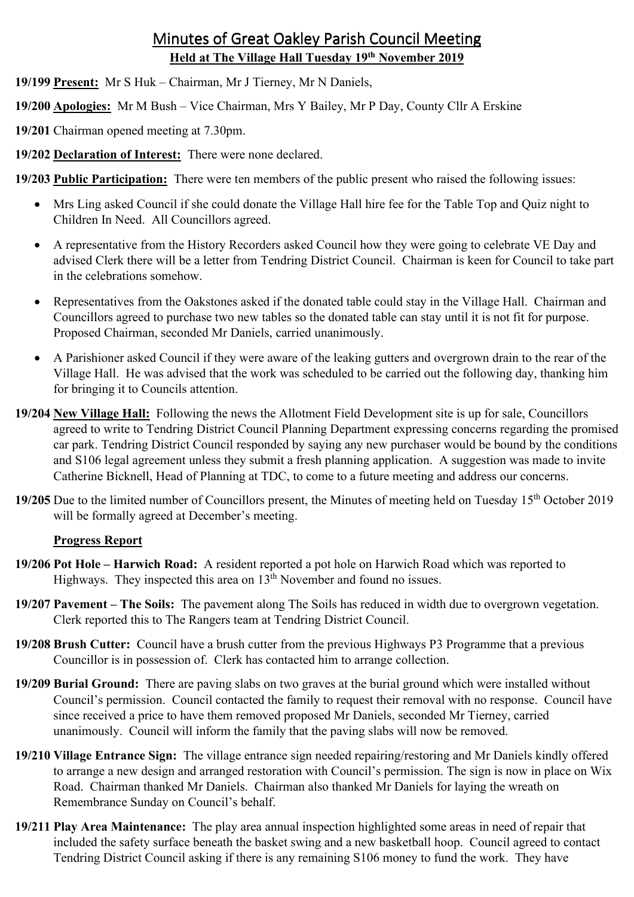# Minutes of Great Oakley Parish Council Meeting **Held at The Village Hall Tuesday 19th November 2019**

- **19/199 Present:** Mr S Huk Chairman, Mr J Tierney, Mr N Daniels,
- **19/200 Apologies:** Mr M Bush Vice Chairman, Mrs Y Bailey, Mr P Day, County Cllr A Erskine
- **19/201** Chairman opened meeting at 7.30pm.

**19/202 Declaration of Interest:** There were none declared.

# **19/203 Public Participation:** There were ten members of the public present who raised the following issues:

- Mrs Ling asked Council if she could donate the Village Hall hire fee for the Table Top and Quiz night to Children In Need. All Councillors agreed.
- A representative from the History Recorders asked Council how they were going to celebrate VE Day and advised Clerk there will be a letter from Tendring District Council. Chairman is keen for Council to take part in the celebrations somehow.
- Representatives from the Oakstones asked if the donated table could stay in the Village Hall. Chairman and Councillors agreed to purchase two new tables so the donated table can stay until it is not fit for purpose. Proposed Chairman, seconded Mr Daniels, carried unanimously.
- A Parishioner asked Council if they were aware of the leaking gutters and overgrown drain to the rear of the Village Hall. He was advised that the work was scheduled to be carried out the following day, thanking him for bringing it to Councils attention.
- **19/204 New Village Hall:** Following the news the Allotment Field Development site is up for sale, Councillors agreed to write to Tendring District Council Planning Department expressing concerns regarding the promised car park. Tendring District Council responded by saying any new purchaser would be bound by the conditions and S106 legal agreement unless they submit a fresh planning application. A suggestion was made to invite Catherine Bicknell, Head of Planning at TDC, to come to a future meeting and address our concerns.
- 19/205 Due to the limited number of Councillors present, the Minutes of meeting held on Tuesday 15<sup>th</sup> October 2019 will be formally agreed at December's meeting.

## **Progress Report**

- **19/206 Pot Hole Harwich Road:** A resident reported a pot hole on Harwich Road which was reported to Highways. They inspected this area on  $13<sup>th</sup>$  November and found no issues.
- **19/207 Pavement – The Soils:** The pavement along The Soils has reduced in width due to overgrown vegetation. Clerk reported this to The Rangers team at Tendring District Council.
- **19/208 Brush Cutter:** Council have a brush cutter from the previous Highways P3 Programme that a previous Councillor is in possession of. Clerk has contacted him to arrange collection.
- **19/209 Burial Ground:** There are paving slabs on two graves at the burial ground which were installed without Council's permission. Council contacted the family to request their removal with no response. Council have since received a price to have them removed proposed Mr Daniels, seconded Mr Tierney, carried unanimously. Council will inform the family that the paving slabs will now be removed.
- **19/210 Village Entrance Sign:** The village entrance sign needed repairing/restoring and Mr Daniels kindly offered to arrange a new design and arranged restoration with Council's permission. The sign is now in place on Wix Road. Chairman thanked Mr Daniels. Chairman also thanked Mr Daniels for laying the wreath on Remembrance Sunday on Council's behalf.
- **19/211 Play Area Maintenance:** The play area annual inspection highlighted some areas in need of repair that included the safety surface beneath the basket swing and a new basketball hoop. Council agreed to contact Tendring District Council asking if there is any remaining S106 money to fund the work. They have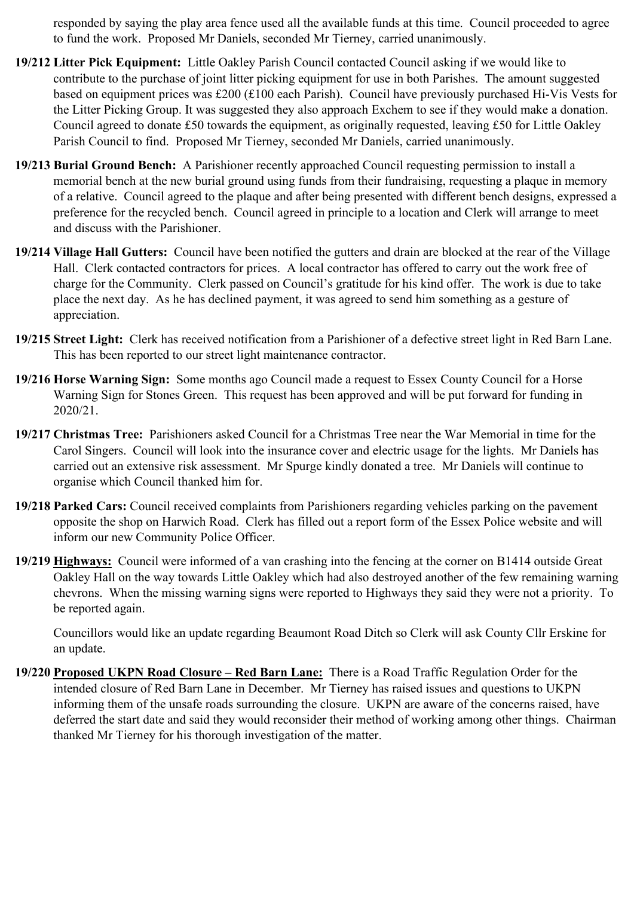responded by saying the play area fence used all the available funds at this time. Council proceeded to agree to fund the work. Proposed Mr Daniels, seconded Mr Tierney, carried unanimously.

- **19/212 Litter Pick Equipment:** Little Oakley Parish Council contacted Council asking if we would like to contribute to the purchase of joint litter picking equipment for use in both Parishes. The amount suggested based on equipment prices was £200 (£100 each Parish). Council have previously purchased Hi-Vis Vests for the Litter Picking Group. It was suggested they also approach Exchem to see if they would make a donation. Council agreed to donate £50 towards the equipment, as originally requested, leaving £50 for Little Oakley Parish Council to find. Proposed Mr Tierney, seconded Mr Daniels, carried unanimously.
- **19/213 Burial Ground Bench:** A Parishioner recently approached Council requesting permission to install a memorial bench at the new burial ground using funds from their fundraising, requesting a plaque in memory of a relative. Council agreed to the plaque and after being presented with different bench designs, expressed a preference for the recycled bench. Council agreed in principle to a location and Clerk will arrange to meet and discuss with the Parishioner.
- **19/214 Village Hall Gutters:** Council have been notified the gutters and drain are blocked at the rear of the Village Hall. Clerk contacted contractors for prices. A local contractor has offered to carry out the work free of charge for the Community. Clerk passed on Council's gratitude for his kind offer. The work is due to take place the next day. As he has declined payment, it was agreed to send him something as a gesture of appreciation.
- **19/215 Street Light:** Clerk has received notification from a Parishioner of a defective street light in Red Barn Lane. This has been reported to our street light maintenance contractor.
- **19/216 Horse Warning Sign:** Some months ago Council made a request to Essex County Council for a Horse Warning Sign for Stones Green. This request has been approved and will be put forward for funding in 2020/21.
- **19/217 Christmas Tree:** Parishioners asked Council for a Christmas Tree near the War Memorial in time for the Carol Singers. Council will look into the insurance cover and electric usage for the lights. Mr Daniels has carried out an extensive risk assessment. Mr Spurge kindly donated a tree. Mr Daniels will continue to organise which Council thanked him for.
- **19/218 Parked Cars:** Council received complaints from Parishioners regarding vehicles parking on the pavement opposite the shop on Harwich Road. Clerk has filled out a report form of the Essex Police website and will inform our new Community Police Officer.
- **19/219 Highways:** Council were informed of a van crashing into the fencing at the corner on B1414 outside Great Oakley Hall on the way towards Little Oakley which had also destroyed another of the few remaining warning chevrons. When the missing warning signs were reported to Highways they said they were not a priority. To be reported again.

Councillors would like an update regarding Beaumont Road Ditch so Clerk will ask County Cllr Erskine for an update.

**19/220 Proposed UKPN Road Closure – Red Barn Lane:** There is a Road Traffic Regulation Order for the intended closure of Red Barn Lane in December. Mr Tierney has raised issues and questions to UKPN informing them of the unsafe roads surrounding the closure. UKPN are aware of the concerns raised, have deferred the start date and said they would reconsider their method of working among other things. Chairman thanked Mr Tierney for his thorough investigation of the matter.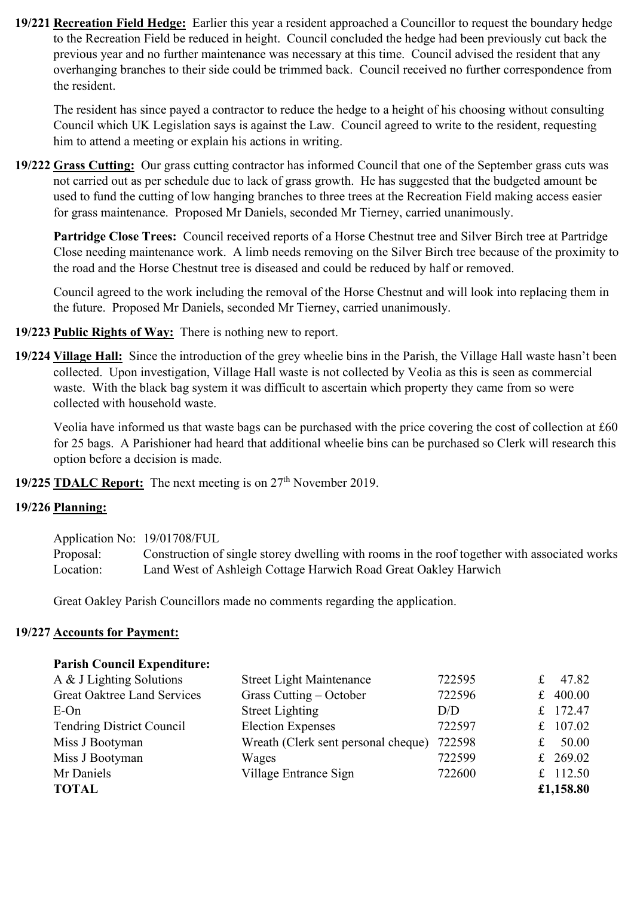**19/221 Recreation Field Hedge:** Earlier this year a resident approached a Councillor to request the boundary hedge to the Recreation Field be reduced in height. Council concluded the hedge had been previously cut back the previous year and no further maintenance was necessary at this time. Council advised the resident that any overhanging branches to their side could be trimmed back. Council received no further correspondence from the resident.

 The resident has since payed a contractor to reduce the hedge to a height of his choosing without consulting Council which UK Legislation says is against the Law. Council agreed to write to the resident, requesting him to attend a meeting or explain his actions in writing.

**19/222 Grass Cutting:** Our grass cutting contractor has informed Council that one of the September grass cuts was not carried out as per schedule due to lack of grass growth. He has suggested that the budgeted amount be used to fund the cutting of low hanging branches to three trees at the Recreation Field making access easier for grass maintenance. Proposed Mr Daniels, seconded Mr Tierney, carried unanimously.

 **Partridge Close Trees:** Council received reports of a Horse Chestnut tree and Silver Birch tree at Partridge Close needing maintenance work. A limb needs removing on the Silver Birch tree because of the proximity to the road and the Horse Chestnut tree is diseased and could be reduced by half or removed.

Council agreed to the work including the removal of the Horse Chestnut and will look into replacing them in the future. Proposed Mr Daniels, seconded Mr Tierney, carried unanimously.

- **19/223 Public Rights of Way:** There is nothing new to report.
- **19/224 Village Hall:** Since the introduction of the grey wheelie bins in the Parish, the Village Hall waste hasn't been collected. Upon investigation, Village Hall waste is not collected by Veolia as this is seen as commercial waste. With the black bag system it was difficult to ascertain which property they came from so were collected with household waste.

Veolia have informed us that waste bags can be purchased with the price covering the cost of collection at £60 for 25 bags. A Parishioner had heard that additional wheelie bins can be purchased so Clerk will research this option before a decision is made.

**19/225 <b>TDALC Report:** The next meeting is on  $27<sup>th</sup>$  November 2019.

## **19/226 Planning:**

| Application No: 19/01708/FUL |                                                                                              |
|------------------------------|----------------------------------------------------------------------------------------------|
| Proposal:                    | Construction of single storey dwelling with rooms in the roof together with associated works |
| Location:                    | Land West of Ashleigh Cottage Harwich Road Great Oakley Harwich                              |

Great Oakley Parish Councillors made no comments regarding the application.

## **19/227 Accounts for Payment:**

## **Parish Council Expenditure:**

| A & J Lighting Solutions           | <b>Street Light Maintenance</b>     | 722595 | £ | 47.82      |
|------------------------------------|-------------------------------------|--------|---|------------|
| <b>Great Oaktree Land Services</b> | Grass Cutting – October             | 722596 | f | 400.00     |
| $E$ -On                            | <b>Street Lighting</b>              | D/D    |   | £ 172.47   |
| <b>Tendring District Council</b>   | <b>Election Expenses</b>            | 722597 |   | £ $107.02$ |
| Miss J Bootyman                    | Wreath (Clerk sent personal cheque) | 722598 | £ | 50.00      |
| Miss J Bootyman                    | Wages                               | 722599 |   | £ 269.02   |
| Mr Daniels                         | Village Entrance Sign               | 722600 |   | £ $112.50$ |
| <b>TOTAL</b>                       |                                     |        |   | £1,158.80  |